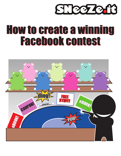

# How to create a winning How to create a winning Facebook contest Facebook contest

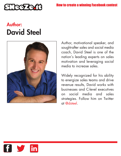

## **Author: David Steel**



Author, motivational speaker, and sought-after sales and social media coach, David Steel is one of the nation's leading experts on sales motivation and leveraging social media to increase sales.

Widely recognized for his ability to energize sales teams and drive revenue results, David works with businesses and C-level executives on social media and sales strategies. Follow him on Twitter at @dsteel.

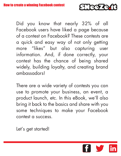

Did you know that nearly 32% of all Facebook users have liked a page because of a contest on Facebook? These contests are a quick and easy way of not only getting more "likes" but also capturing user information. And, if done correctly, your contest has the chance of being shared widely, building loyalty, and creating brand ambassadors!

There are a wide variety of contests you can use to promote your business, an event, a product launch, etc. In this eBook, we'll also bring it back to the basics and share with you some techniques to make your Facebook contest a success.

Let's get started!

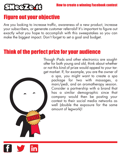#### Figure out your objective

Are you looking to increase traffic, awareness of a new product, increase your subscribers, or generate customer referrals? It's important to figure out exactly what you hope to accomplish with this sweepstakes so you can make the biggest impact. Don't forget to set a goal and budget.

## Think of the perfect prize for your audience

Though iPads and other electronics are soughtafter for both young and old, think about whether or not this kind of prize would appeal to your target market. If, for example, you are the owner of

a spa, you might want to create a spa package for two with massages, a mani/pedi, and an aromatherapy session. Consider a partnership with a brand that has a similar demographic since that company would then be posting your contest to their social media networks as well (double the exposure for the same amount of legwork)!

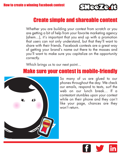

#### Create simple and shareable content

Whether you are building your contest from scratch or you are getting a bit of help from your favorite marketing agency (ahem…), it's important that you end up with a promotion that users can not only understand, but that they'll want to share with their friends. Facebook contests are a great way of getting your brand's name out there to the masses and you'll want to make sure you capitalize on the opportunity correctly.

Which brings us to our next point…

#### Make sure your contest is mobile-friendly



So many of us are glued to our phones throughout the day. We check our emails, respond to texts, surf the web on our lunch break… If a contestant stumbles upon your contest while on their phone and they can't like your page, chances are they won't return.

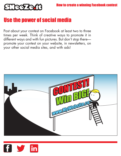

#### Use the power of social media

Post about your contest on Facebook at least two to three times per week. Think of creative ways to promote it in different ways and with fun pictures. But don't stop there promote your contest on your website, in newsletters, on your other social media sites, and with ads!



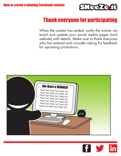

### Thank everyone for participating

When the contest has ended, notify the winner via email and update your social media pages (and website) with details. Make sure to thank everyone who has entered and consider asking for feedback for upcoming promotions.



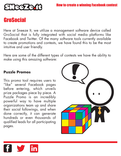

#### GroSocial

Here at Sneeze It, we utilize a management software device called GroSocial that is fully integrated with social media platforms like Facebook and Twitter. Of the many software tools currently available to create promotions and contests, we have found this to be the most intuitive and user friendly.

Here are some of the different types of contests we have the ability to make using this amazing software:

#### **Puzzle Promos**

This promo tool requires users to "like" several Facebook pages before entering, which unveils prize packages piece by piece. A Puzzle Promo is an incredibly powerful way to have multiple organizations team up and share their social followings, and when done correctly, it can generate hundreds or even thousands of qualified leads for all participating pages.



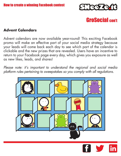

### GroSocial con't

#### **Advent Calendars**

Advent calendars are now available year-round! This exciting Facebook promo will make an effective part of your social media strategy because your leads will come back each day to see which part of the calendar is clickable and the new prizes that are revealed. Users have an incentive to return to your Facebook page every day, which gives you exposure as well as new likes, leads, and shares!

*Please note: it's important to understand the regional and social media platform rules pertaining to sweepstakes so you comply with all regulations.*